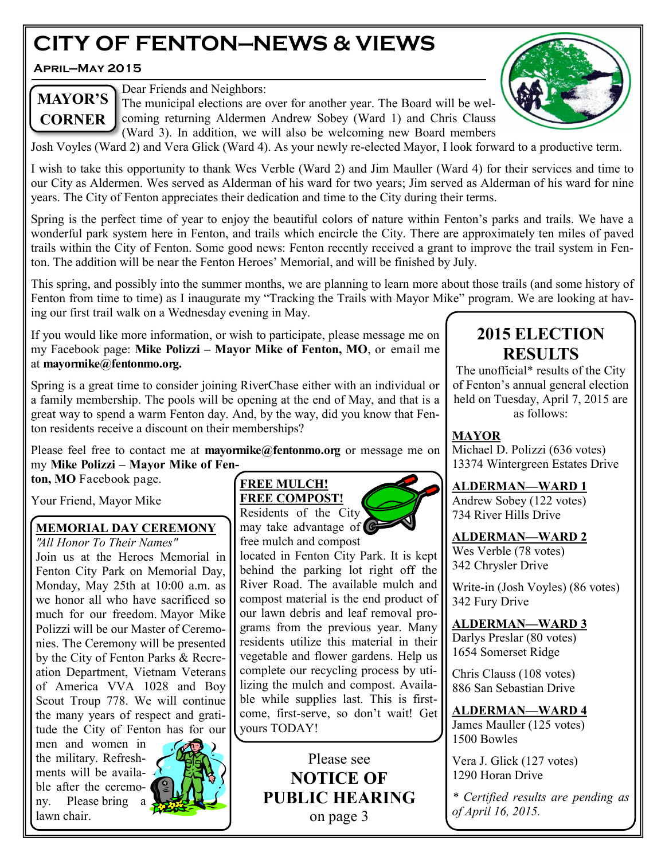# **CITY OF FENTON—NEWS & VIEWS**

**April—May 2015**



Dear Friends and Neighbors:

The municipal elections are over for another year. The Board will be welcoming returning Aldermen Andrew Sobey (Ward 1) and Chris Clauss (Ward 3). In addition, we will also be welcoming new Board members

Josh Voyles (Ward 2) and Vera Glick (Ward 4). As your newly re-elected Mayor, I look forward to a productive term.

I wish to take this opportunity to thank Wes Verble (Ward 2) and Jim Mauller (Ward 4) for their services and time to our City as Aldermen. Wes served as Alderman of his ward for two years; Jim served as Alderman of his ward for nine years. The City of Fenton appreciates their dedication and time to the City during their terms.

Spring is the perfect time of year to enjoy the beautiful colors of nature within Fenton's parks and trails. We have a wonderful park system here in Fenton, and trails which encircle the City. There are approximately ten miles of paved trails within the City of Fenton. Some good news: Fenton recently received a grant to improve the trail system in Fenton. The addition will be near the Fenton Heroes' Memorial, and will be finished by July.

This spring, and possibly into the summer months, we are planning to learn more about those trails (and some history of Fenton from time to time) as I inaugurate my "Tracking the Trails with Mayor Mike" program. We are looking at having our first trail walk on a Wednesday evening in May.

If you would like more information, or wish to participate, please message me on my Facebook page: **Mike Polizzi – Mayor Mike of Fenton, MO**, or email me at **mayormike@fentonmo.org.** 

Spring is a great time to consider joining RiverChase either with an individual or a family membership. The pools will be opening at the end of May, and that is a great way to spend a warm Fenton day. And, by the way, did you know that Fenton residents receive a discount on their memberships?

Please feel free to contact me at **mayormike@fentonmo.org** or message me on my **Mike Polizzi – Mayor Mike of Fenton, MO** Facebook page.

Your Friend, Mayor Mike

### **MEMORIAL DAY CEREMONY**

*" All Honor To Their Names"* Join us at the Heroes Memorial in Fenton City Park on Memorial Day, Monday, May 25th at 10:00 a.m. as we honor all who have sacrificed so much for our freedom. Mayor Mike Polizzi will be our Master of Ceremonies. The Ceremony will be presented by the City of Fenton Parks & Recreation Department, Vietnam Veterans of America VVA 1028 and Boy Scout Troup 778. We will continue the many years of respect and gratitude the City of Fenton has for our

men and women in the military. Refreshments will be availa- $\sqrt{ }$ ble after the ceremony. Please bring lawn chair.



### **FREE MULCH! FREE COMPOST!**

Residents of the City may take advantage of free mulch and compost

located in Fenton City Park. It is kept behind the parking lot right off the River Road. The available mulch and compost material is the end product of our lawn debris and leaf removal programs from the previous year. Many residents utilize this material in their vegetable and flower gardens. Help us complete our recycling process by utilizing the mulch and compost. Available while supplies last. This is firstcome, first-serve, so don't wait! Get yours TODAY!

> Please see **NOTICE OF PUBLIC HEARING** on page 3

## **2015 ELECTION RESULTS**

The unofficial\* results of the City of Fenton's annual general election held on Tuesday, April 7, 2015 are as follows:

## **MAYOR**

Michael D. Polizzi (636 votes) 13374 Wintergreen Estates Drive

## **ALDERMAN—WARD 1**

Andrew Sobey (122 votes) 734 River Hills Drive

## **ALDERMAN—WARD 2**

Wes Verble (78 votes) 342 Chrysler Drive

Write-in (Josh Voyles) (86 votes) 342 Fury Drive

**ALDERMAN—WARD 3**

Darlys Preslar (80 votes) 1654 Somerset Ridge

Chris Clauss (108 votes) 886 San Sebastian Drive

**ALDERMAN—WARD 4** James Mauller (125 votes) 1500 Bowles

Vera J. Glick (127 votes) 1290 Horan Drive

*\* Certified results are pending as of April 16, 2015.*



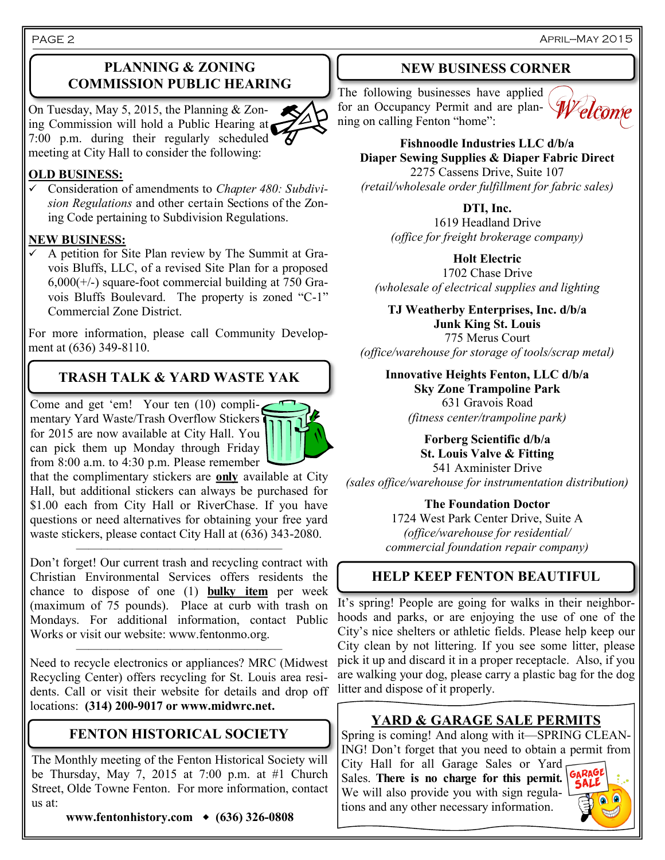April—May 2015

## **PLANNING & ZONING COMMISSION PUBLIC HEARING**

On Tuesday, May 5, 2015, the Planning & Zoning Commission will hold a Public Hearing at 7:00 p.m. during their regularly scheduled meeting at City Hall to consider the following:

## **OLD BUSINESS:**

 Consideration of amendments to *Chapter 480: Subdivision Regulations* and other certain Sections of the Zoning Code pertaining to Subdivision Regulations.

### **NEW BUSINESS:**

 A petition for Site Plan review by The Summit at Gravois Bluffs, LLC, of a revised Site Plan for a proposed  $6,000(+/-)$  square-foot commercial building at 750 Gravois Bluffs Boulevard. The property is zoned "C-1" Commercial Zone District.

For more information, please call Community Development at (636) 349-8110.

## **TRASH TALK & YARD WASTE YAK**

Come and get 'em! Your ten (10) complimentary Yard Waste/Trash Overflow Stickers for 2015 are now available at City Hall. You can pick them up Monday through Friday from 8:00 a.m. to 4:30 p.m. Please remember

that the complimentary stickers are **only** available at City Hall, but additional stickers can always be purchased for \$1.00 each from City Hall or RiverChase. If you have questions or need alternatives for obtaining your free yard waste stickers, please contact City Hall at (636) 343-2080. ——–——————————————

Don't forget! Our current trash and recycling contract with Christian Environmental Services offers residents the chance to dispose of one (1) **bulky item** per week (maximum of 75 pounds). Place at curb with trash on Mondays. For additional information, contact Public Works or visit our website: www.fentonmo.org.

Need to recycle electronics or appliances? MRC (Midwest Recycling Center) offers recycling for St. Louis area residents. Call or visit their website for details and drop off locations: **(314) 200-9017 or www.midwrc.net.**

——–——————————————

## **FENTON HISTORICAL SOCIETY**

The Monthly meeting of the Fenton Historical Society will be Thursday, May 7, 2015 at 7:00 p.m. at #1 Church Street, Olde Towne Fenton. For more information, contact us at:

**www.fentonhistory.com (636) 326-0808**

### **NEW BUSINESS CORNER**

The following businesses have applied The following businesses have applied to the following for an Occupancy Permit and are planning on calling Fenton "home":



**Fishnoodle Industries LLC d/b/a Diaper Sewing Supplies & Diaper Fabric Direct** 2275 Cassens Drive, Suite 107 *(retail/wholesale order fulfillment for fabric sales)*

**DTI, Inc.**

1619 Headland Drive *(office for freight brokerage company)*

**Holt Electric** 1702 Chase Drive *(wholesale of electrical supplies and lighting*

**TJ Weatherby Enterprises, Inc. d/b/a Junk King St. Louis** 775 Merus Court *(office/warehouse for storage of tools/scrap metal)*

**Innovative Heights Fenton, LLC d/b/a Sky Zone Trampoline Park** 631 Gravois Road *(fitness center/trampoline park)*

**Forberg Scientific d/b/a St. Louis Valve & Fitting** 541 Axminister Drive *(sales office/warehouse for instrumentation distribution)*

**The Foundation Doctor**

1724 West Park Center Drive, Suite A *(office/warehouse for residential/ commercial foundation repair company)*

## **HELP KEEP FENTON BEAUTIFUL**

It's spring! People are going for walks in their neighborhoods and parks, or are enjoying the use of one of the City's nice shelters or athletic fields. Please help keep our City clean by not littering. If you see some litter, please pick it up and discard it in a proper receptacle. Also, if you are walking your dog, please carry a plastic bag for the dog litter and dispose of it properly.

## **YARD & GARAGE SALE PERMITS**

Spring is coming! And along with it—SPRING CLEAN-ING! Don't forget that you need to obtain a permit from City Hall for all Garage Sales or Yard

Sales. **There is no charge for this permit.**  We will also provide you with sign regulations and any other necessary information.



#### PAGE 2

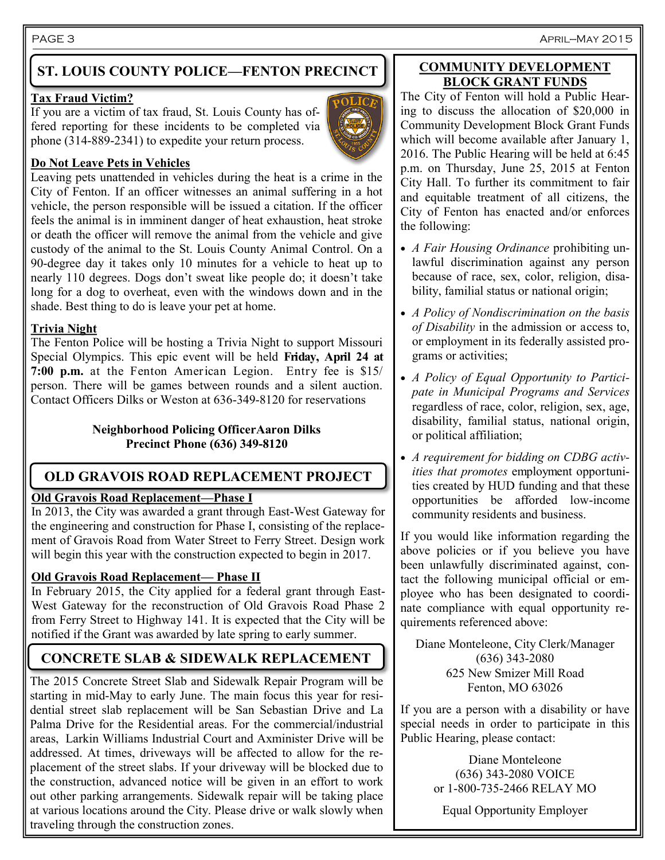## **ST. LOUIS COUNTY POLICE—FENTON PRECINCT**

#### **Tax Fraud Victim?**

If you are a victim of tax fraud, St. Louis County has offered reporting for these incidents to be completed via phone (314-889-2341) to expedite your return process.

#### **Do Not Leave Pets in Vehicles**

Leaving pets unattended in vehicles during the heat is a crime in the City of Fenton. If an officer witnesses an animal suffering in a hot vehicle, the person responsible will be issued a citation. If the officer feels the animal is in imminent danger of heat exhaustion, heat stroke or death the officer will remove the animal from the vehicle and give custody of the animal to the St. Louis County Animal Control. On a 90-degree day it takes only 10 minutes for a vehicle to heat up to nearly 110 degrees. Dogs don't sweat like people do; it doesn't take long for a dog to overheat, even with the windows down and in the shade. Best thing to do is leave your pet at home.

## **Trivia Night**

The Fenton Police will be hosting a Trivia Night to support Missouri Special Olympics. This epic event will be held **Friday, April 24 at 7:00 p.m.** at the Fenton American Legion. Entry fee is \$15/ person. There will be games between rounds and a silent auction. Contact Officers Dilks or Weston at 636-349-8120 for reservations

#### **Neighborhood Policing OfficerAaron Dilks Precinct Phone (636) 349-8120**

## **OLD GRAVOIS ROAD REPLACEMENT PROJECT**

### **Old Gravois Road Replacement—Phase I**

In 2013, the City was awarded a grant through East-West Gateway for the engineering and construction for Phase I, consisting of the replacement of Gravois Road from Water Street to Ferry Street. Design work will begin this year with the construction expected to begin in 2017.

## **Old Gravois Road Replacement— Phase II**

In February 2015, the City applied for a federal grant through East-West Gateway for the reconstruction of Old Gravois Road Phase 2 from Ferry Street to Highway 141. It is expected that the City will be notified if the Grant was awarded by late spring to early summer.

## **CONCRETE SLAB & SIDEWALK REPLACEMENT**

The 2015 Concrete Street Slab and Sidewalk Repair Program will be starting in mid-May to early June. The main focus this year for residential street slab replacement will be San Sebastian Drive and La Palma Drive for the Residential areas. For the commercial/industrial areas, Larkin Williams Industrial Court and Axminister Drive will be addressed. At times, driveways will be affected to allow for the replacement of the street slabs. If your driveway will be blocked due to the construction, advanced notice will be given in an effort to work out other parking arrangements. Sidewalk repair will be taking place at various locations around the City. Please drive or walk slowly when traveling through the construction zones.

#### **COMMUNITY DEVELOPMENT BLOCK GRANT FUNDS**

The City of Fenton will hold a Public Hearing to discuss the allocation of \$20,000 in Community Development Block Grant Funds which will become available after January 1, 2016. The Public Hearing will be held at 6:45 p.m. on Thursday, June 25, 2015 at Fenton City Hall. To further its commitment to fair and equitable treatment of all citizens, the City of Fenton has enacted and/or enforces the following:

- *A Fair Housing Ordinance* prohibiting unlawful discrimination against any person because of race, sex, color, religion, disability, familial status or national origin;
- *A Policy of Nondiscrimination on the basis of Disability* in the admission or access to, or employment in its federally assisted programs or activities;
- *A Policy of Equal Opportunity to Participate in Municipal Programs and Services*  regardless of race, color, religion, sex, age, disability, familial status, national origin, or political affiliation;
- *A requirement for bidding on CDBG activities that promotes* employment opportunities created by HUD funding and that these opportunities be afforded low-income community residents and business.

If you would like information regarding the above policies or if you believe you have been unlawfully discriminated against, contact the following municipal official or employee who has been designated to coordinate compliance with equal opportunity requirements referenced above:

Diane Monteleone, City Clerk/Manager (636) 343-2080 625 New Smizer Mill Road Fenton, MO 63026

If you are a person with a disability or have special needs in order to participate in this Public Hearing, please contact:

> Diane Monteleone (636) 343-2080 VOICE or 1-800-735-2466 RELAY MO

Equal Opportunity Employer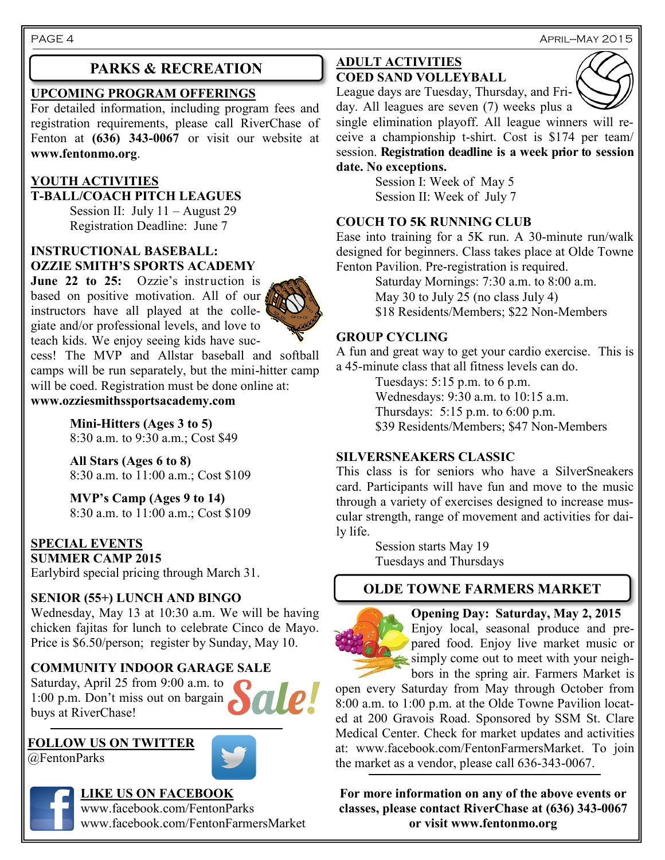### **UPCOMING PROGRAM OFFERINGS**

For detailed information, including program fees and registration requirements, please call RiverChase of Fenton at **(636) 343-0067** or visit our website at **www.fentonmo.org**.

## **YOUTH ACTIVITIES**

**T-BALL/COACH PITCH LEAGUES** Session II: July  $11 -$ August 29 Registration Deadline: June 7

## **INSTRUCTIONAL BASEBALL: OZZIE SMITH'S SPORTS ACADEMY**

**June 22 to 25:** Ozzie's instruction is based on positive motivation. All of our instructors have all played at the collegiate and/or professional levels, and love to teach kids. We enjoy seeing kids have suc-



cess! The MVP and Allstar baseball and softball camps will be run separately, but the mini-hitter camp will be coed. Registration must be done online at:

**www.ozziesmithssportsacademy.com**

**Mini-Hitters (Ages 3 to 5)** 8:30 a.m. to 9:30 a.m.; Cost \$49

**All Stars (Ages 6 to 8)** 8:30 a.m. to 11:00 a.m.; Cost \$109

**MVP's Camp (Ages 9 to 14)** 8:30 a.m. to 11:00 a.m.; Cost \$109

## **SPECIAL EVENTS**

**SUMMER CAMP 2015** Earlybird special pricing through March 31.

## **SENIOR (55+) LUNCH AND BINGO**

Wednesday, May 13 at 10:30 a.m. We will be having chicken fajitas for lunch to celebrate Cinco de Mayo. Price is \$6.50/person; register by Sunday, May 10.

## **COMMUNITY INDOOR GARAGE SALE**

Saturday, April 25 from 9:00 a.m. to 1:00 p.m. Don't miss out on bargain buys at RiverChase!

## **FOLLOW US ON TWITTER**

@FentonParks



**LIKE US ON FACEBOOK** www.facebook.com/FentonParks

www.facebook.com/FentonFarmersMarket

### **PARKS & RECREATION ADULT ACTIVITIES COED SAND VOLLEYBALL**



League days are Tuesday, Thursday, and Friday. All leagues are seven (7) weeks plus a

single elimination playoff. All league winners will receive a championship t-shirt. Cost is \$174 per team/ session. **Registration deadline is a week prior to session** 

### **date. No exceptions.**

Session I: Week of May 5 Session II: Week of July 7

### **COUCH TO 5K RUNNING CLUB**

Ease into training for a 5K run. A 30-minute run/walk designed for beginners. Class takes place at Olde Towne Fenton Pavilion. Pre-registration is required.

> Saturday Mornings: 7:30 a.m. to 8:00 a.m. May 30 to July 25 (no class July 4) \$18 Residents/Members; \$22 Non-Members

## **GROUP CYCLING**

A fun and great way to get your cardio exercise. This is a 45-minute class that all fitness levels can do.

> Tuesdays: 5:15 p.m. to 6 p.m. Wednesdays: 9:30 a.m. to 10:15 a.m. Thursdays: 5:15 p.m. to 6:00 p.m. \$39 Residents/Members; \$47 Non-Members

### **SILVERSNEAKERS CLASSIC**

This class is for seniors who have a SilverSneakers card. Participants will have fun and move to the music through a variety of exercises designed to increase muscular strength, range of movement and activities for daily life.

> Session starts May 19 Tuesdays and Thursdays

## **OLDE TOWNE FARMERS MARKET**

**Opening Day: Saturday, May 2, 2015** Enjoy local, seasonal produce and prepared food. Enjoy live market music or simply come out to meet with your neighbors in the spring air. Farmers Market is

open every Saturday from May through October from 8:00 a.m. to 1:00 p.m. at the Olde Towne Pavilion located at 200 Gravois Road. Sponsored by SSM St. Clare Medical Center. Check for market updates and activities at: www.facebook.com/FentonFarmersMarket. To join the market as a vendor, please call 636-343-0067.

**For more information on any of the above events or classes, please contact RiverChase at (636) 343-0067 or visit www.fentonmo.org**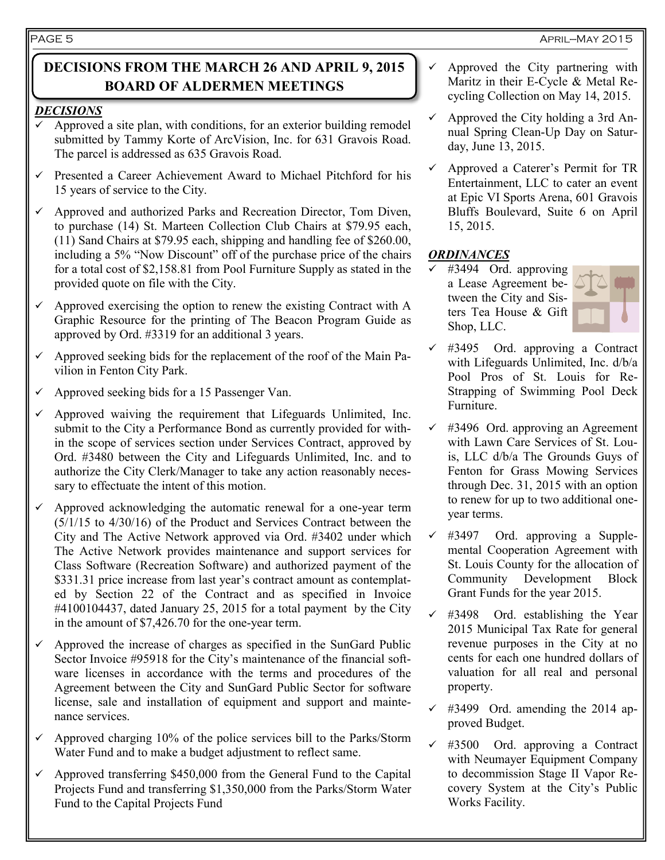## **DECISIONS FROM THE MARCH 26 AND APRIL 9, 2015 BOARD OF ALDERMEN MEETINGS**

## *DECISIONS*

- Approved a site plan, with conditions, for an exterior building remodel submitted by Tammy Korte of ArcVision, Inc. for 631 Gravois Road. The parcel is addressed as 635 Gravois Road.
- $\checkmark$  Presented a Career Achievement Award to Michael Pitchford for his 15 years of service to the City.
- $\checkmark$  Approved and authorized Parks and Recreation Director, Tom Diven, to purchase (14) St. Marteen Collection Club Chairs at \$79.95 each, (11) Sand Chairs at \$79.95 each, shipping and handling fee of \$260.00, including a 5% "Now Discount" off of the purchase price of the chairs for a total cost of \$2,158.81 from Pool Furniture Supply as stated in the provided quote on file with the City.
- $\checkmark$  Approved exercising the option to renew the existing Contract with A Graphic Resource for the printing of The Beacon Program Guide as approved by Ord. #3319 for an additional 3 years.
- Approved seeking bids for the replacement of the roof of the Main Pavilion in Fenton City Park.
- $\checkmark$  Approved seeking bids for a 15 Passenger Van.
- Approved waiving the requirement that Lifeguards Unlimited, Inc. submit to the City a Performance Bond as currently provided for within the scope of services section under Services Contract, approved by Ord. #3480 between the City and Lifeguards Unlimited, Inc. and to authorize the City Clerk/Manager to take any action reasonably necessary to effectuate the intent of this motion.
- Approved acknowledging the automatic renewal for a one-year term (5/1/15 to 4/30/16) of the Product and Services Contract between the City and The Active Network approved via Ord. #3402 under which The Active Network provides maintenance and support services for Class Software (Recreation Software) and authorized payment of the \$331.31 price increase from last year's contract amount as contemplated by Section 22 of the Contract and as specified in Invoice #4100104437, dated January 25, 2015 for a total payment by the City in the amount of \$7,426.70 for the one-year term.
- $\checkmark$  Approved the increase of charges as specified in the SunGard Public Sector Invoice #95918 for the City's maintenance of the financial software licenses in accordance with the terms and procedures of the Agreement between the City and SunGard Public Sector for software license, sale and installation of equipment and support and maintenance services.
- $\checkmark$  Approved charging 10% of the police services bill to the Parks/Storm Water Fund and to make a budget adjustment to reflect same.
- $\sim$  Approved transferring \$450,000 from the General Fund to the Capital Projects Fund and transferring \$1,350,000 from the Parks/Storm Water Fund to the Capital Projects Fund
- $\checkmark$  Approved the City partnering with Maritz in their E-Cycle & Metal Recycling Collection on May 14, 2015.
- $\checkmark$  Approved the City holding a 3rd Annual Spring Clean-Up Day on Saturday, June 13, 2015.
- $\checkmark$  Approved a Caterer's Permit for TR Entertainment, LLC to cater an event at Epic VI Sports Arena, 601 Gravois Bluffs Boulevard, Suite 6 on April 15, 2015.

## *ORDINANCES*

 $\checkmark$  #3494 Ord. approving a Lease Agreement between the City and Sisters Tea House & Gift Shop, LLC.



- #3495 Ord. approving a Contract with Lifeguards Unlimited, Inc. d/b/a Pool Pros of St. Louis for Re-Strapping of Swimming Pool Deck Furniture.
- $\checkmark$  #3496 Ord. approving an Agreement with Lawn Care Services of St. Louis, LLC d/b/a The Grounds Guys of Fenton for Grass Mowing Services through Dec. 31, 2015 with an option to renew for up to two additional oneyear terms.
- $\checkmark$  #3497 Ord. approving a Supplemental Cooperation Agreement with St. Louis County for the allocation of Community Development Block Grant Funds for the year 2015.
- #3498 Ord. establishing the Year 2015 Municipal Tax Rate for general revenue purposes in the City at no cents for each one hundred dollars of valuation for all real and personal property.
- $\checkmark$  #3499 Ord. amending the 2014 approved Budget.
- $\checkmark$  #3500 Ord. approving a Contract with Neumayer Equipment Company to decommission Stage II Vapor Recovery System at the City's Public Works Facility.